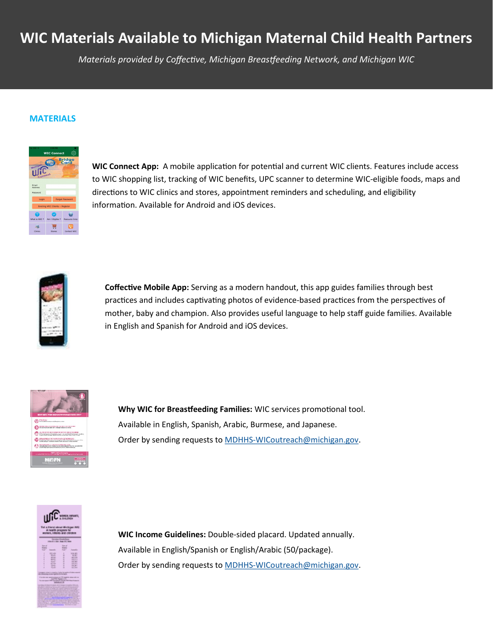# **WIC Materials Available to Michigan Maternal Child Health Partners**

*Materials provided by Coffective, Michigan Breastfeeding Network, and Michigan WIC* 

#### **MATERIALS**



**WIC Connect App:** A mobile application for potential and current WIC clients. Features include access to WIC shopping list, tracking of WIC benefits, UPC scanner to determine WIC-eligible foods, maps and directions to WIC clinics and stores, appointment reminders and scheduling, and eligibility information. Available for Android and iOS devices.



**Coffective Mobile App:** Serving as a modern handout, this app guides families through best practices and includes captivating photos of evidence-based practices from the perspectives of mother, baby and champion. Also provides useful language to help staff guide families. Available in English and Spanish for Android and iOS devices.



**Why WIC for Breastfeeding Families:** WIC services promotional tool. Available in English, Spanish, Arabic, Burmese, and Japanese. Order by sending requests to MDHHS-[WICoutreach@michigan.gov.](mailto:MDHHS-WICoutreach@michigan.gov)



**WIC Income Guidelines:** Double-sided placard. Updated annually. Available in English/Spanish or English/Arabic (50/package). Order by sending requests to MDHHS-[WICoutreach@michigan.gov.](mailto:MDHHS-WICoutreach@michigan.gov)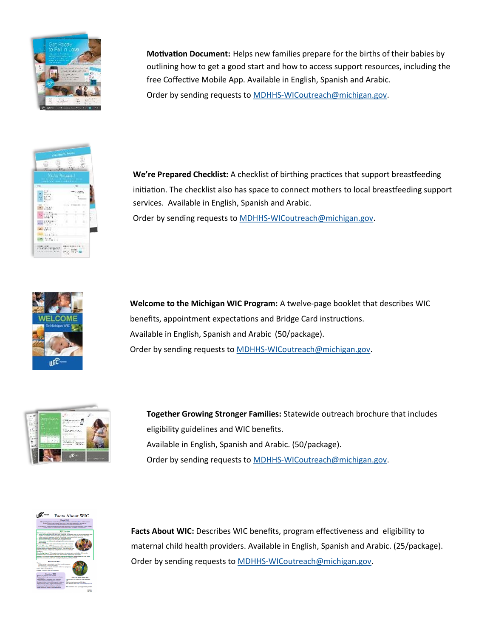

**Motivation Document:** Helps new families prepare for the births of their babies by outlining how to get a good start and how to access support resources, including the free Coffective Mobile App. Available in English, Spanish and Arabic. Order by sending requests to MDHHS-[WICoutreach@michigan.gov.](mailto:MDHHS-WICoutreach@michigan.gov)



**We're Prepared Checklist:** A checklist of birthing practices that support breastfeeding initiation. The checklist also has space to connect mothers to local breastfeeding support services. Available in English, Spanish and Arabic. Order by sending requests to MDHHS-[WICoutreach@michigan.gov.](mailto:MDHHS-WICoutreach@michigan.gov)



**Welcome to the Michigan WIC Program:** A twelve-page booklet that describes WIC benefits, appointment expectations and Bridge Card instructions. Available in English, Spanish and Arabic (50/package). Order by sending requests to MDHHS-[WICoutreach@michigan.gov.](mailto:MDHHS-WICoutreach@michigan.gov)



**Together Growing Stronger Families:** Statewide outreach brochure that includes eligibility guidelines and WIC benefits. Available in English, Spanish and Arabic. (50/package). Order by sending requests to MDHHS-[WICoutreach@michigan.gov.](mailto:MDHHS-WICoutreach@michigan.gov)



Facts About WIC: Describes WIC benefits, program effectiveness and eligibility to maternal child health providers. Available in English, Spanish and Arabic. (25/package). Order by sending requests to MDHHS-[WICoutreach@michigan.gov.](mailto:MDHHS-WICoutreach@michigan.gov)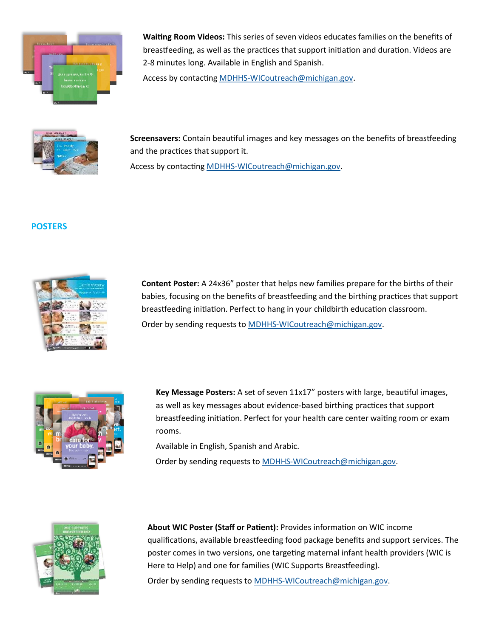

**Waiting Room Videos:** This series of seven videos educates families on the benefits of breastfeeding, as well as the practices that support initiation and duration. Videos are 2-8 minutes long. Available in English and Spanish.

Access by contacting MDHHS-[WICoutreach@michigan.gov.](mailto:MDHHS-WICoutreach@michigan.gov)



**Screensavers:** Contain beautiful images and key messages on the benefits of breastfeeding and the practices that support it.

Access by contacting MDHHS-[WICoutreach@michigan.gov.](mailto:MDHHS-WICoutreach@michigan.gov)

## **POSTERS**



**Content Poster:** A 24x36" poster that helps new families prepare for the births of their babies, focusing on the benefits of breastfeeding and the birthing practices that support breastfeeding initiation. Perfect to hang in your childbirth education classroom. Order by sending requests to MDHHS-[WICoutreach@michigan.gov.](mailto:MDHHS-WICoutreach@michigan.gov)

|                               | <b>Gilbert and information</b>                              |
|-------------------------------|-------------------------------------------------------------|
|                               | יי<br>MAIN AREA<br><b>INDEW ARE:</b><br>With Beller Control |
| 737<br>cor<br>an              |                                                             |
| <b>YD</b><br>m<br>ь<br>ā<br>Ω | care for<br>your baby.                                      |
| ю                             | his working<br>÷<br><b>COLL</b><br>R                        |
|                               |                                                             |

**Key Message Posters:** A set of seven 11x17" posters with large, beautiful images, as well as key messages about evidence-based birthing practices that support breastfeeding initiation. Perfect for your health care center waiting room or exam rooms.

Available in English, Spanish and Arabic. Order by sending requests to MDHHS-[WICoutreach@michigan.gov.](mailto:MDHHS-WICoutreach@michigan.gov)



**About WIC Poster (Staff or Patient):** Provides information on WIC income qualifications, available breastfeeding food package benefits and support services. The poster comes in two versions, one targeting maternal infant health providers (WIC is Here to Help) and one for families (WIC Supports Breastfeeding). Order by sending requests to MDHHS-[WICoutreach@michigan.gov.](mailto:MDHHS-WICoutreach@michigan.gov)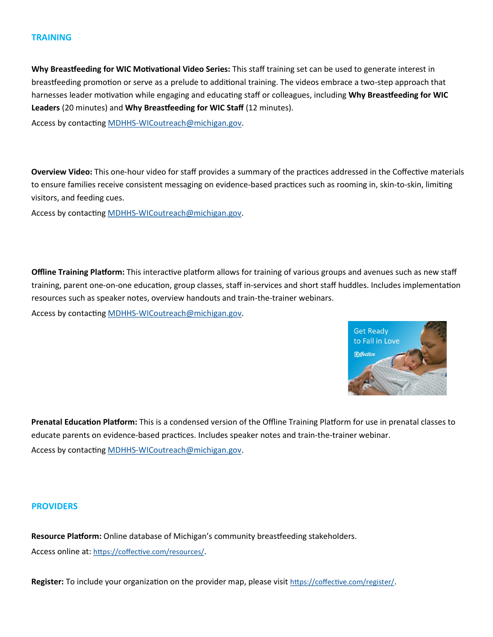### **TRAINING**

**Why Breastfeeding for WIC Motivational Video Series:** This staff training set can be used to generate interest in breastfeeding promotion or serve as a prelude to additional training. The videos embrace a two-step approach that harnesses leader motivation while engaging and educating staff or colleagues, including **Why Breastfeeding for WIC Leaders** (20 minutes) and **Why Breastfeeding for WIC Staff** (12 minutes).

Access by contacting MDHHS-[WICoutreach@michigan.gov.](mailto:MDHHS-WICoutreach@michigan.gov)

**Overview Video:** This one-hour video for staff provides a summary of the practices addressed in the Coffective materials to ensure families receive consistent messaging on evidence-based practices such as rooming in, skin-to-skin, limiting visitors, and feeding cues.

Access by contacting MDHHS-[WICoutreach@michigan.gov.](mailto:MDHHS-WICoutreach@michigan.gov)

**Offline Training Platform:** This interactive platform allows for training of various groups and avenues such as new staff training, parent one-on-one education, group classes, staff in-services and short staff huddles. Includes implementation resources such as speaker notes, overview handouts and train-the-trainer webinars.

Access by contacting MDHHS-[WICoutreach@michigan.gov.](mailto:MDHHS-WICoutreach@michigan.gov)



**Prenatal Education Platform:** This is a condensed version of the Offline Training Platform for use in prenatal classes to educate parents on evidence-based practices. Includes speaker notes and train-the-trainer webinar. Access by contacting MDHHS-[WICoutreach@michigan.gov.](mailto:MDHHS-WICoutreach@michigan.gov)

#### **PROVIDERS**

**Resource Platform:** Online database of Michigan's community breastfeeding stakeholders. Access online at: <https://coffective.com/resources/>.

**Register:** To include your organization on the provider map, please visit [https://coffective.com/register/](https://gcc01.safelinks.protection.outlook.com/?url=https%3A%2F%2Fcoffective.com%2Fregister%2F&data=02%7C01%7CJacksonW6%40michigan.gov%7C9058a5b4610349c94f1208d6ccdbefa1%7Cd5fb7087377742ad966a892ef47225d1%7C0%7C0%7C636921642314608833&sdata=PCyUEEa1DEzpb%2Fy%2).